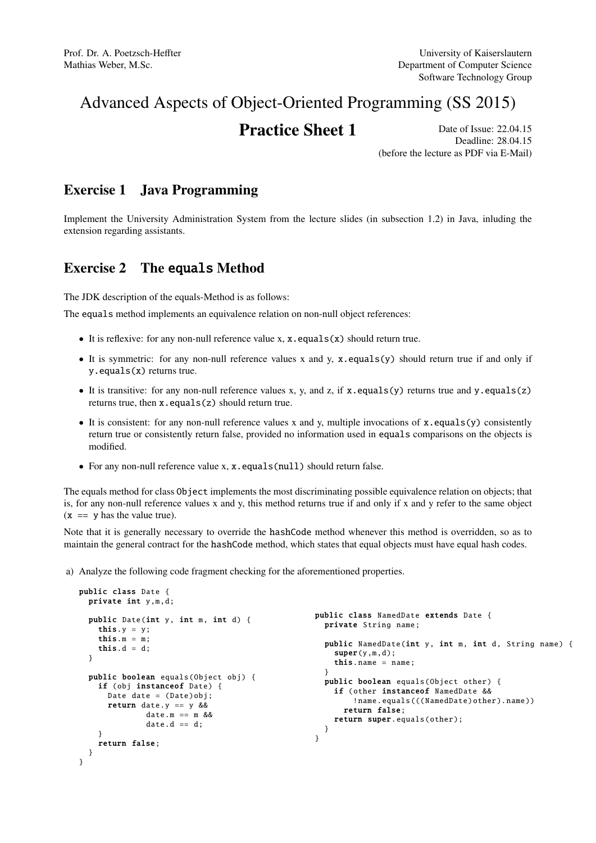# Advanced Aspects of Object-Oriented Programming (SS 2015)

## **Practice Sheet 1** Date of Issue: 22.04.15

Deadline: 28.04.15 (before the lecture as PDF via E-Mail)

#### Exercise 1 Java Programming

Implement the University Administration System from the lecture slides (in subsection 1.2) in Java, inluding the extension regarding assistants.

### Exercise 2 The equals Method

The JDK description of the equals-Method is as follows:

The equals method implements an equivalence relation on non-null object references:

- It is reflexive: for any non-null reference value x,  $x \cdot equals(x)$  should return true.
- It is symmetric: for any non-null reference values x and y, x.equals(y) should return true if and only if y.equals(x) returns true.
- It is transitive: for any non-null reference values x, y, and z, if x.equals(y) returns true and y.equals(z) returns true, then x.equals(z) should return true.
- It is consistent: for any non-null reference values x and y, multiple invocations of x.equals(y) consistently return true or consistently return false, provided no information used in equals comparisons on the objects is modified.
- For any non-null reference value x, x.equals(null) should return false.

The equals method for class Object implements the most discriminating possible equivalence relation on objects; that is, for any non-null reference values x and y, this method returns true if and only if x and y refer to the same object  $(x == y has the value true).$ 

Note that it is generally necessary to override the hashCode method whenever this method is overridden, so as to maintain the general contract for the hashCode method, which states that equal objects must have equal hash codes.

a) Analyze the following code fragment checking for the aforementioned properties.

```
public class Date {
 private int y,m,d;
 public Date(int y, int m, int d) {
    this.y = y;
    this.m = m;
    this.d = d;
 }
  public boolean equals(Object obj) {
    if (obj instanceof Date) {
      Date date = (Date)obj;
     return date.y == y &&
              date.m == m &&
              date.d == d;}
    return false;
 }
}
                                                  public class NamedDate extends Date {
                                                    private String name;
                                                    public NamedDate (int y, int m, int d, String name) {
                                                       super(y,m,d);
                                                       this.name = name:
                                                    }
                                                    public boolean equals(Object other) {
                                                       if (other instanceof NamedDate &&
                                                           !name.equals(((NamedDate)other).name))
                                                         return false;
                                                      return super.equals(other);
                                                    }
                                                  }
```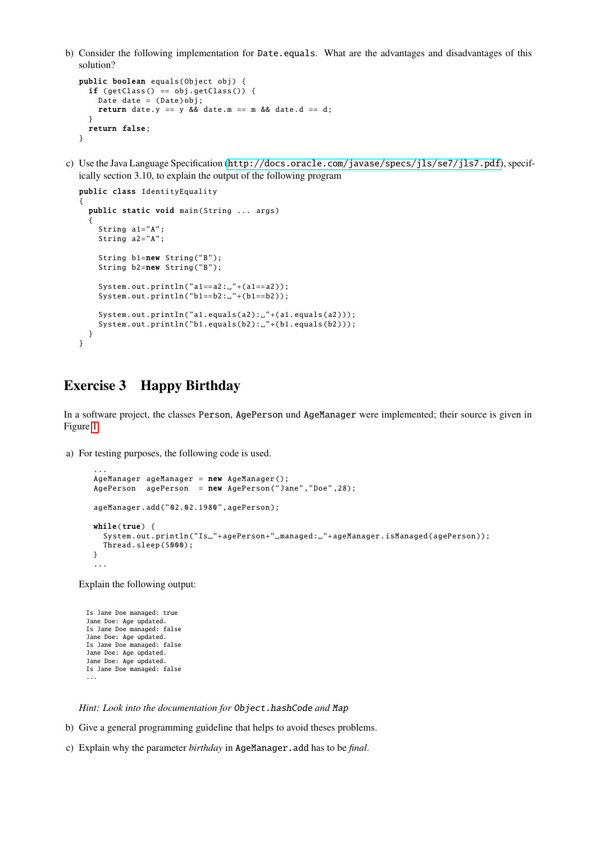b) Consider the following implementation for Date.equals. What are the advantages and disadvantages of this solution?

```
public boolean equals(Object obj) {
 if (getClass() == obj.getClass() {
   Date date = (Date)obj;
   return date.y == y && date.m == m && date.d == d;
 }
 return false;
}
```
c) Use the Java Language Specification (<http://docs.oracle.com/javase/specs/jls/se7/jls7.pdf>), specifically section 3.10, to explain the output of the following program

```
public class IdentityEquality
{
 public static void main(String ... args)
  {
    String a1="A";
    String a2="A";
    String b1=new String("B");
    String b2=new String("B");
    System.out.println("a1==a2:."+(a1==a2));
    System.out.println("b1==b2:."+(b1==b2));
    System.out.println("a1.equals(a2): "+(a1.equals(a2 )));
    System.out.println("b1.equals(b2): "+(b1.equals(b2 )));
 }
}
```
#### Exercise 3 Happy Birthday

In a software project, the classes Person, AgePerson und AgeManager were implemented; their source is given in Figure [1.](#page-2-0)

a) For testing purposes, the following code is used.

```
...
AgeManager ageManager = new AgeManager ();
AgePerson agePerson = new AgePerson ("Jane","Doe" ,28);
ageManager.add("02.02.1980",agePerson);
while(true) {
 System.out.println("Is."+agePerson+" managed: "+ageManager.isManaged(agePerson));
 Thread.sleep (5000);
}
...
```
Explain the following output:

Is Jane Doe managed: true Jane Doe: Age updated. Is Jane Doe managed: false Jane Doe: Age updated. Is Jane Doe managed: false Jane Doe: Age updated. Jane Doe: Age updated. Is Jane Doe managed: false ...

*Hint: Look into the documentation for* Object.hashCode *and* Map

- b) Give a general programming guideline that helps to avoid theses problems.
- c) Explain why the parameter *birthday* in AgeManager.add has to be *final*.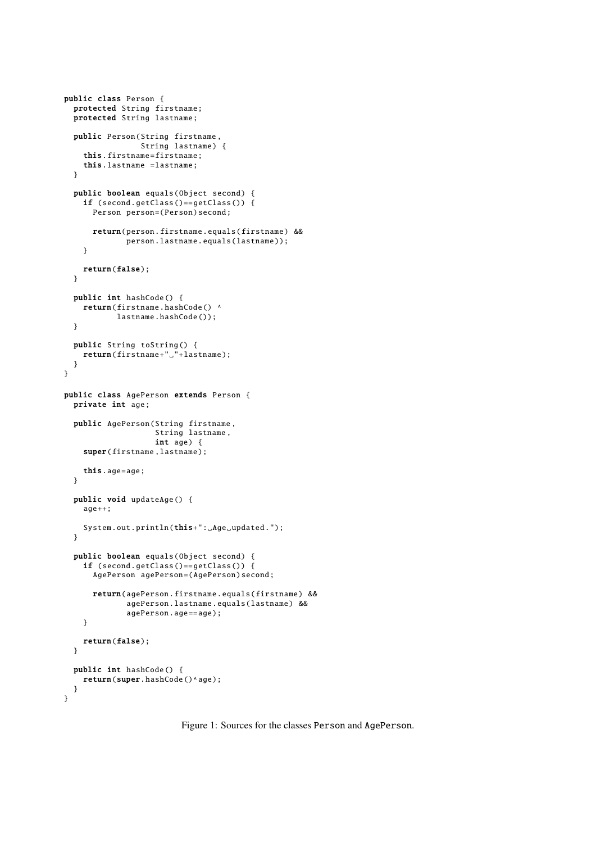```
public class Person {
 protected String firstname ;
  protected String lastname;
 public Person(String firstname ,
                String lastname) {
    this. firstname=firstname;
    this.lastname =lastname;
  }
  public boolean equals(Object second) {
   if (second.getClass ()== getClass ()) {
      Person person=(Person)second;
      return(person. firstname .equals( firstname ) &&
             person.lastname.equals(lastname));
   }
   return(false);
 }
 public int hashCode () {
   return(firstname.hashCode() ^
           lastname.hashCode());
 }
 public String toString () {
   return(firstname+"."+lastname);
  }
}
public class AgePerson extends Person {
 private int age;
 public AgePerson (String firstname ,
                   String lastname,
                   int age) {
    super(firstname, lastname);
    this.age=age;
  }
  public void updateAge () {
   age++;System.out.println(this+":_Age_updated.");
 }
  public boolean equals(Object second) {
   if (second.getClass ()== getClass ()) {
      AgePerson agePerson=(AgePerson)second;
      return( agePerson . firstname .equals( firstname ) &&
             agePerson .lastname.equals(lastname) &&
             agePerson.age == age);
    }
   return(false);
 }
 public int hashCode () {
   return(super.hashCode()^age);
 }
}
```
<span id="page-2-0"></span>Figure 1: Sources for the classes Person and AgePerson.